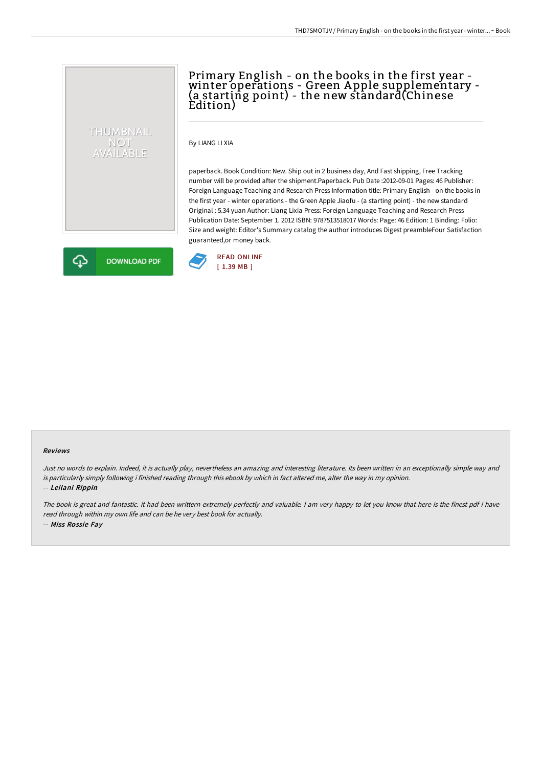## Primary English - on the books in the first year -<br>winter operations - Green Apple supplementary -(a starting point) - the new standard(Chinese Edition)

By LIANG LI XIA

paperback. Book Condition: New. Ship out in 2 business day, And Fast shipping, Free Tracking number will be provided after the shipment.Paperback. Pub Date :2012-09-01 Pages: 46 Publisher: Foreign Language Teaching and Research Press Information title: Primary English - on the books in the first year - winter operations - the Green Apple Jiaofu - (a starting point) - the new standard Original : 5.34 yuan Author: Liang Lixia Press: Foreign Language Teaching and Research Press Publication Date: September 1. 2012 ISBN: 9787513518017 Words: Page: 46 Edition: 1 Binding: Folio: Size and weight: Editor's Summary catalog the author introduces Digest preambleFour Satisfaction guaranteed,or money back.



THUMBNAIL NOT<br>AVAILABLE



## Reviews

Just no words to explain. Indeed, it is actually play, nevertheless an amazing and interesting literature. Its been written in an exceptionally simple way and is particularly simply following i finished reading through this ebook by which in fact altered me, alter the way in my opinion. -- Leilani Rippin

The book is great and fantastic. it had been writtern extremely perfectly and valuable. <sup>I</sup> am very happy to let you know that here is the finest pdf i have read through within my own life and can be he very best book for actually. -- Miss Rossie Fay